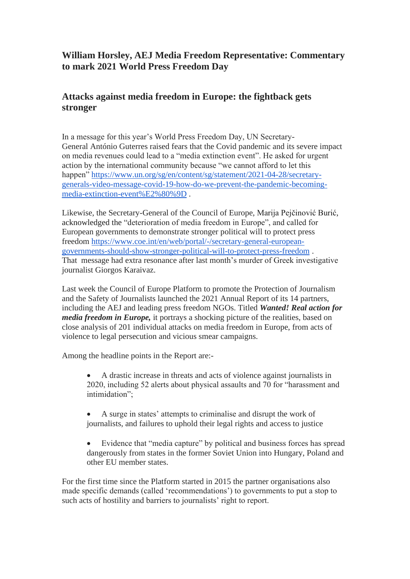## **William Horsley, AEJ Media Freedom Representative: Commentary to mark 2021 World Press Freedom Day**

## **Attacks against media freedom in Europe: the fightback gets stronger**

In a message for this year's World Press Freedom Day, UN Secretary-General António Guterres raised fears that the Covid pandemic and its severe impact on media revenues could lead to a "media extinction event". He asked for urgent action by the international community because "we cannot afford to let this happen" [https://www.un.org/sg/en/content/sg/statement/2021-04-28/secretary](https://www.un.org/sg/en/content/sg/statement/2021-04-28/secretary-generals-video-message-covid-19-how-do-we-prevent-the-pandemic-becoming-media-extinction-event%E2%80%9D)[generals-video-message-covid-19-how-do-we-prevent-the-pandemic-becoming](https://www.un.org/sg/en/content/sg/statement/2021-04-28/secretary-generals-video-message-covid-19-how-do-we-prevent-the-pandemic-becoming-media-extinction-event%E2%80%9D)[media-extinction-event%E2%80%9D](https://www.un.org/sg/en/content/sg/statement/2021-04-28/secretary-generals-video-message-covid-19-how-do-we-prevent-the-pandemic-becoming-media-extinction-event%E2%80%9D) .

Likewise, the Secretary-General of the Council of Europe, Marija Pejčinović Burić, acknowledged the "deterioration of media freedom in Europe", and called for European governments to demonstrate stronger political will to protect press freedom [https://www.coe.int/en/web/portal/-/secretary-general-european](https://www.coe.int/en/web/portal/-/secretary-general-european-governments-should-show-stronger-political-will-to-protect-press-freedom)[governments-should-show-stronger-political-will-to-protect-press-freedom](https://www.coe.int/en/web/portal/-/secretary-general-european-governments-should-show-stronger-political-will-to-protect-press-freedom) . That message had extra resonance after last month's murder of Greek investigative journalist Giorgos Karaivaz.

Last week the Council of Europe Platform to promote the Protection of Journalism and the Safety of Journalists launched the 2021 Annual Report of its 14 partners, including the AEJ and leading press freedom NGOs. Titled *Wanted! Real action for media freedom in Europe,* it portrays a shocking picture of the realities, based on close analysis of 201 individual attacks on media freedom in Europe, from acts of violence to legal persecution and vicious smear campaigns.

Among the headline points in the Report are:-

- A drastic increase in threats and acts of violence against journalists in 2020, including 52 alerts about physical assaults and 70 for "harassment and intimidation";
- A surge in states' attempts to criminalise and disrupt the work of journalists, and failures to uphold their legal rights and access to justice
- Evidence that "media capture" by political and business forces has spread dangerously from states in the former Soviet Union into Hungary, Poland and other EU member states.

For the first time since the Platform started in 2015 the partner organisations also made specific demands (called 'recommendations') to governments to put a stop to such acts of hostility and barriers to journalists' right to report.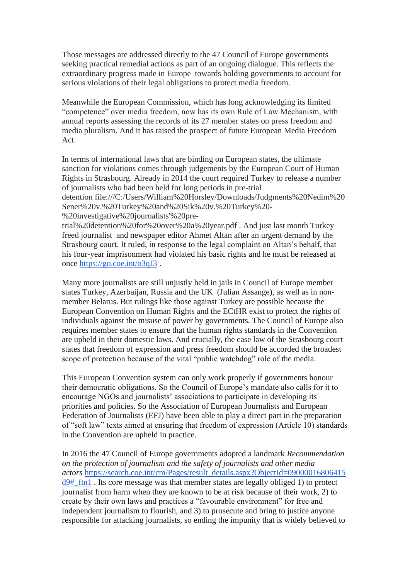Those messages are addressed directly to the 47 Council of Europe governments seeking practical remedial actions as part of an ongoing dialogue. This reflects the extraordinary progress made in Europe towards holding governments to account for serious violations of their legal obligations to protect media freedom.

Meanwhile the European Commission, which has long acknowledging its limited "competence" over media freedom, now has its own Rule of Law Mechanism, with annual reports assessing the records of its 27 member states on press freedom and media pluralism. And it has raised the prospect of future European Media Freedom Act.

In terms of international laws that are binding on European states, the ultimate sanction for violations comes through judgements by the European Court of Human Rights in Strasbourg. Already in 2014 the court required Turkey to release a number of journalists who had been held for long periods in pre-trial detention file:///C:/Users/William%20Horsley/Downloads/Judgments%20Nedim%20 Sener%20v.%20Turkey%20and%20Sik%20v.%20Turkey%20-

%20investigative%20journalists'%20pre-

trial%20detention%20for%20over%20a%20year.pdf . And just last month Turkey freed journalist and newspaper editor Ahmet Altan after an urgent demand by the Strasbourg court. It ruled, in response to the legal complaint on Altan's behalf, that his four-year imprisonment had violated his basic rights and he must be released at once <https://go.coe.int/o3qJ3> .

Many more journalists are still unjustly held in jails in Council of Europe member states Turkey, Azerbaijan, Russia and the UK (Julian Assange), as well as in nonmember Belarus. But rulings like those against Turkey are possible because the European Convention on Human Rights and the ECtHR exist to protect the rights of individuals against the misuse of power by governments. The Council of Europe also requires member states to ensure that the human rights standards in the Convention are upheld in their domestic laws. And crucially, the case law of the Strasbourg court states that freedom of expression and press freedom should be accorded the broadest scope of protection because of the vital "public watchdog" role of the media.

This European Convention system can only work properly if governments honour their democratic obligations. So the Council of Europe's mandate also calls for it to encourage NGOs and journalists' associations to participate in developing its priorities and policies. So the Association of European Journalists and European Federation of Journalists (EFJ) have been able to play a direct part in the preparation of "soft law" texts aimed at ensuring that freedom of expression (Article 10) standards in the Convention are upheld in practice.

In 2016 the 47 Council of Europe governments adopted a landmark *Recommendation on the protection of journalism and the safety of journalists and other media actors* [https://search.coe.int/cm/Pages/result\\_details.aspx?ObjectId=09000016806415](https://search.coe.int/cm/Pages/result_details.aspx?ObjectId=09000016806415d9#_ftn1) [d9#\\_ftn1](https://search.coe.int/cm/Pages/result_details.aspx?ObjectId=09000016806415d9#_ftn1) . Its core message was that member states are legally obliged 1) to protect journalist from harm when they are known to be at risk because of their work, 2) to create by their own laws and practices a "favourable environment" for free and independent journalism to flourish, and 3) to prosecute and bring to justice anyone responsible for attacking journalists, so ending the impunity that is widely believed to